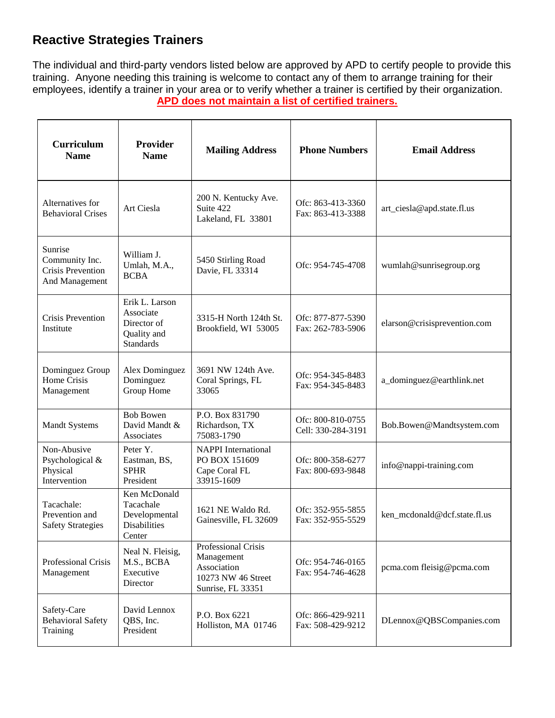## **Reactive Strategies Trainers**

The individual and third-party vendors listed below are approved by APD to certify people to provide this training. Anyone needing this training is welcome to contact any of them to arrange training for their employees, identify a trainer in your area or to verify whether a trainer is certified by their organization. **APD does not maintain a list of certified trainers.**

| Curriculum<br><b>Name</b>                                               | Provider<br><b>Name</b>                                                       | <b>Mailing Address</b>                                                                      | <b>Phone Numbers</b>                    | <b>Email Address</b>         |
|-------------------------------------------------------------------------|-------------------------------------------------------------------------------|---------------------------------------------------------------------------------------------|-----------------------------------------|------------------------------|
| Alternatives for<br><b>Behavioral Crises</b>                            | Art Ciesla                                                                    | 200 N. Kentucky Ave.<br>Suite 422<br>Lakeland, FL 33801                                     | Ofc: 863-413-3360<br>Fax: 863-413-3388  | art_ciesla@apd.state.fl.us   |
| Sunrise<br>Community Inc.<br><b>Crisis Prevention</b><br>And Management | William J.<br>Umlah, M.A.,<br><b>BCBA</b>                                     | 5450 Stirling Road<br>Davie, FL 33314                                                       | Ofc: 954-745-4708                       | wumlah@sunrisegroup.org      |
| <b>Crisis Prevention</b><br>Institute                                   | Erik L. Larson<br>Associate<br>Director of<br>Quality and<br><b>Standards</b> | 3315-H North 124th St.<br>Brookfield, WI 53005                                              | Ofc: 877-877-5390<br>Fax: 262-783-5906  | elarson@crisisprevention.com |
| Dominguez Group<br>Home Crisis<br>Management                            | Alex Dominguez<br>Dominguez<br>Group Home                                     | 3691 NW 124th Ave.<br>Coral Springs, FL<br>33065                                            | Ofc: 954-345-8483<br>Fax: 954-345-8483  | a_dominguez@earthlink.net    |
| <b>Mandt Systems</b>                                                    | <b>Bob Bowen</b><br>David Mandt &<br>Associates                               | P.O. Box 831790<br>Richardson, TX<br>75083-1790                                             | Ofc: 800-810-0755<br>Cell: 330-284-3191 | Bob.Bowen@Mandtsystem.com    |
| Non-Abusive<br>Psychological &<br>Physical<br>Intervention              | Peter Y.<br>Eastman, BS,<br><b>SPHR</b><br>President                          | <b>NAPPI</b> International<br>PO BOX 151609<br>Cape Coral FL<br>33915-1609                  | Ofc: 800-358-6277<br>Fax: 800-693-9848  | info@nappi-training.com      |
| Tacachale:<br>Prevention and<br><b>Safety Strategies</b>                | Ken McDonald<br>Tacachale<br>Developmental<br>Disabilities<br>Center          | 1621 NE Waldo Rd.<br>Gainesville, FL 32609                                                  | Ofc: 352-955-5855<br>Fax: 352-955-5529  | ken_mcdonald@dcf.state.fl.us |
| Professional Crisis<br>Management                                       | Neal N. Fleisig,<br>M.S., BCBA<br>Executive<br>Director                       | Professional Crisis<br>Management<br>Association<br>10273 NW 46 Street<br>Sunrise, FL 33351 | Ofc: 954-746-0165<br>Fax: 954-746-4628  | pcma.com fleisig@pcma.com    |
| Safety-Care<br><b>Behavioral Safety</b><br>Training                     | David Lennox<br>QBS, Inc.<br>President                                        | P.O. Box 6221<br>Holliston, MA 01746                                                        | Ofc: 866-429-9211<br>Fax: 508-429-9212  | DLennox@QBSCompanies.com     |